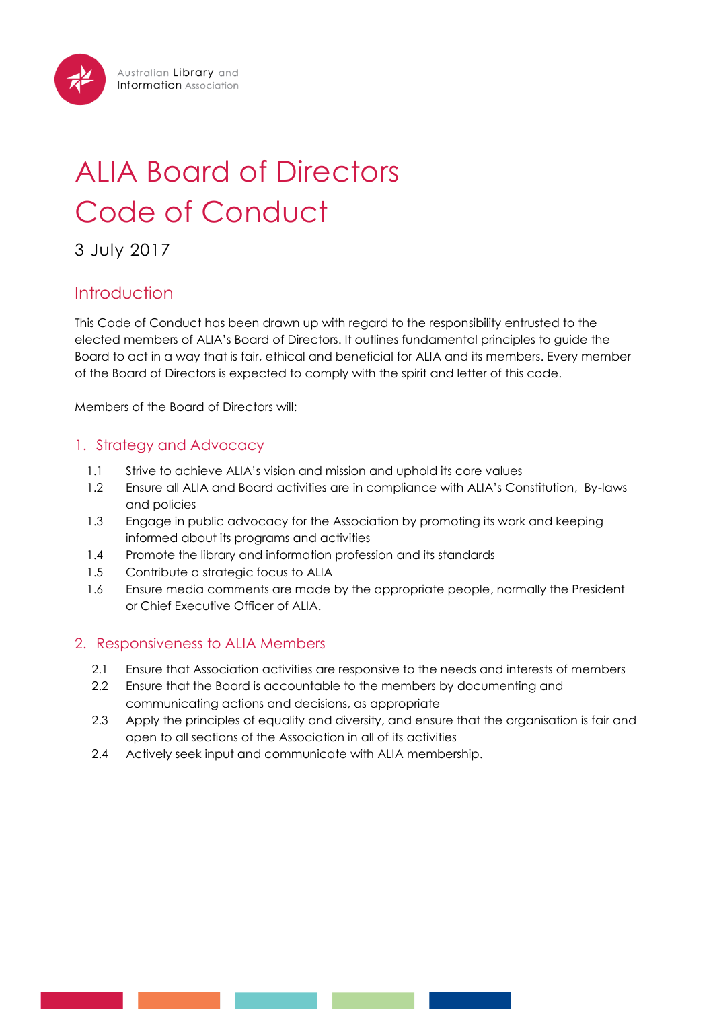# ALIA Board of Directors Code of Conduct

# 3 July 2017

# Introduction

This Code of Conduct has been drawn up with regard to the responsibility entrusted to the elected members of ALIA's Board of Directors. It outlines fundamental principles to guide the Board to act in a way that is fair, ethical and beneficial for ALIA and its members. Every member of the Board of Directors is expected to comply with the spirit and letter of this code.

Members of the Board of Directors will:

# 1. Strategy and Advocacy

- 1.1 Strive to achieve ALIA's vision and mission and uphold its core values
- 1.2 Ensure all ALIA and Board activities are in compliance with ALIA's Constitution, By-laws and policies
- 1.3 Engage in public advocacy for the Association by promoting its work and keeping informed about its programs and activities
- 1.4 Promote the library and information profession and its standards
- 1.5 Contribute a strategic focus to ALIA
- 1.6 Ensure media comments are made by the appropriate people, normally the President or Chief Executive Officer of ALIA.

# 2. Responsiveness to ALIA Members

- 2.1 Ensure that Association activities are responsive to the needs and interests of members
- 2.2 Ensure that the Board is accountable to the members by documenting and communicating actions and decisions, as appropriate
- 2.3 Apply the principles of equality and diversity, and ensure that the organisation is fair and open to all sections of the Association in all of its activities
- 2.4 Actively seek input and communicate with ALIA membership.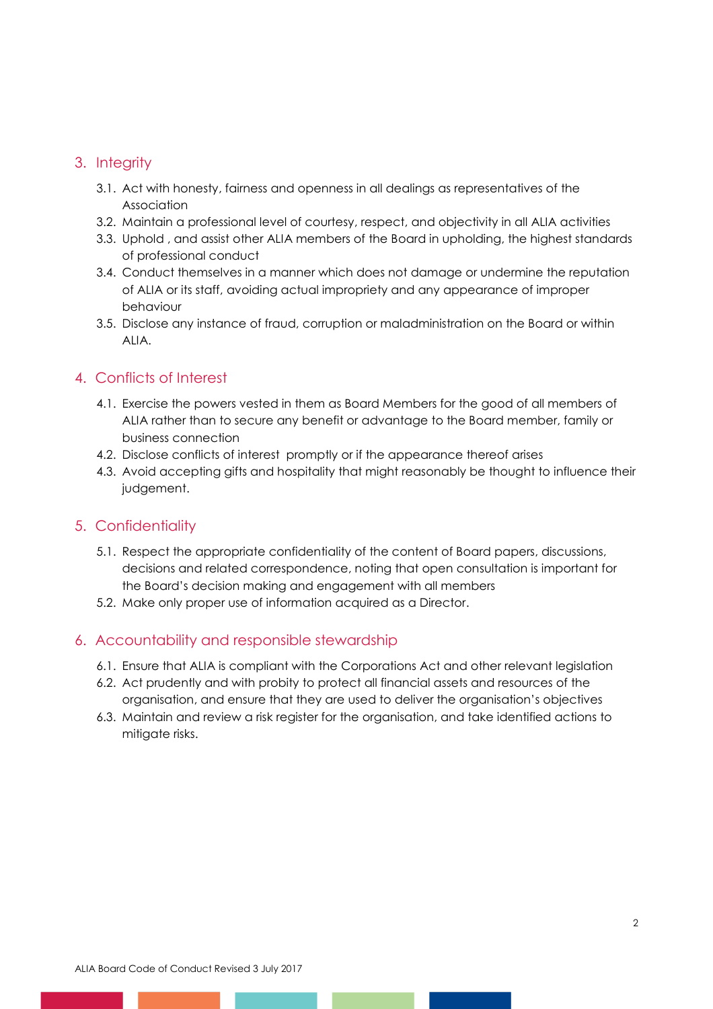### 3. Integrity

- 3.1. Act with honesty, fairness and openness in all dealings as representatives of the Association
- 3.2. Maintain a professional level of courtesy, respect, and objectivity in all ALIA activities
- 3.3. Uphold , and assist other ALIA members of the Board in upholding, the highest standards of professional conduct
- 3.4. Conduct themselves in a manner which does not damage or undermine the reputation of ALIA or its staff, avoiding actual impropriety and any appearance of improper behaviour
- 3.5. Disclose any instance of fraud, corruption or maladministration on the Board or within ALIA.

### 4. Conflicts of Interest

- 4.1. Exercise the powers vested in them as Board Members for the good of all members of ALIA rather than to secure any benefit or advantage to the Board member, family or business connection
- 4.2. Disclose conflicts of interest promptly or if the appearance thereof arises
- 4.3. Avoid accepting gifts and hospitality that might reasonably be thought to influence their judgement.

#### 5. Confidentiality

- 5.1. Respect the appropriate confidentiality of the content of Board papers, discussions, decisions and related correspondence, noting that open consultation is important for the Board's decision making and engagement with all members
- 5.2. Make only proper use of information acquired as a Director.

#### 6. Accountability and responsible stewardship

- 6.1. Ensure that ALIA is compliant with the Corporations Act and other relevant legislation
- 6.2. Act prudently and with probity to protect all financial assets and resources of the organisation, and ensure that they are used to deliver the organisation's objectives
- 6.3. Maintain and review a risk register for the organisation, and take identified actions to mitigate risks.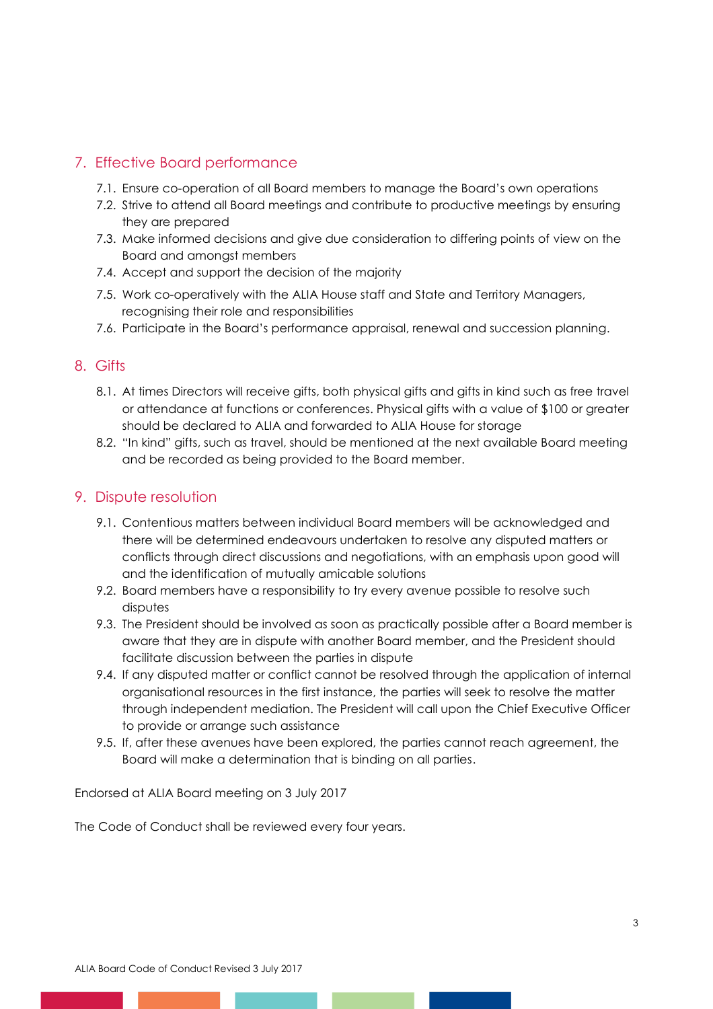## 7. Effective Board performance

- 7.1. Ensure co-operation of all Board members to manage the Board's own operations
- 7.2. Strive to attend all Board meetings and contribute to productive meetings by ensuring they are prepared
- 7.3. Make informed decisions and give due consideration to differing points of view on the Board and amongst members
- 7.4. Accept and support the decision of the majority
- 7.5. Work co-operatively with the ALIA House staff and State and Territory Managers, recognising their role and responsibilities
- 7.6. Participate in the Board's performance appraisal, renewal and succession planning.

#### 8. Gifts

- 8.1. At times Directors will receive gifts, both physical gifts and gifts in kind such as free travel or attendance at functions or conferences. Physical gifts with a value of \$100 or greater should be declared to ALIA and forwarded to ALIA House for storage
- 8.2. "In kind" gifts, such as travel, should be mentioned at the next available Board meeting and be recorded as being provided to the Board member.

#### 9. Dispute resolution

- 9.1. Contentious matters between individual Board members will be acknowledged and there will be determined endeavours undertaken to resolve any disputed matters or conflicts through direct discussions and negotiations, with an emphasis upon good will and the identification of mutually amicable solutions
- 9.2. Board members have a responsibility to try every avenue possible to resolve such disputes
- 9.3. The President should be involved as soon as practically possible after a Board member is aware that they are in dispute with another Board member, and the President should facilitate discussion between the parties in dispute
- 9.4. If any disputed matter or conflict cannot be resolved through the application of internal organisational resources in the first instance, the parties will seek to resolve the matter through independent mediation. The President will call upon the Chief Executive Officer to provide or arrange such assistance
- 9.5. If, after these avenues have been explored, the parties cannot reach agreement, the Board will make a determination that is binding on all parties.

Endorsed at ALIA Board meeting on 3 July 2017

The Code of Conduct shall be reviewed every four years.